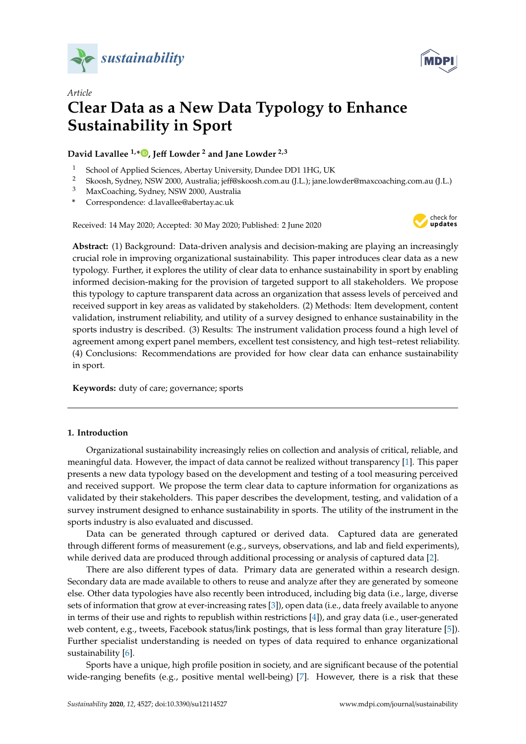



# *Article* **Clear Data as a New Data Typology to Enhance Sustainability in Sport**

# **David Lavallee 1,[\\*](https://orcid.org/0000-0002-3829-293X) , Je**ff **Lowder <sup>2</sup> and Jane Lowder 2,3**

- <sup>1</sup> School of Applied Sciences, Abertay University, Dundee DD1 1HG, UK<br><sup>2</sup> Skoosh Sydnov NSW 2000, Australia: isf@skoosh.com au (U ): iang lot
- <sup>2</sup> Skoosh, Sydney, NSW 2000, Australia; jeff@skoosh.com.au (J.L.); jane.lowder@maxcoaching.com.au (J.L.)
- <sup>3</sup> MaxCoaching, Sydney, NSW 2000, Australia
- **\*** Correspondence: d.lavallee@abertay.ac.uk

Received: 14 May 2020; Accepted: 30 May 2020; Published: 2 June 2020



**Abstract:** (1) Background: Data-driven analysis and decision-making are playing an increasingly crucial role in improving organizational sustainability. This paper introduces clear data as a new typology. Further, it explores the utility of clear data to enhance sustainability in sport by enabling informed decision-making for the provision of targeted support to all stakeholders. We propose this typology to capture transparent data across an organization that assess levels of perceived and received support in key areas as validated by stakeholders. (2) Methods: Item development, content validation, instrument reliability, and utility of a survey designed to enhance sustainability in the sports industry is described. (3) Results: The instrument validation process found a high level of agreement among expert panel members, excellent test consistency, and high test–retest reliability. (4) Conclusions: Recommendations are provided for how clear data can enhance sustainability in sport.

**Keywords:** duty of care; governance; sports

## **1. Introduction**

Organizational sustainability increasingly relies on collection and analysis of critical, reliable, and meaningful data. However, the impact of data cannot be realized without transparency [\[1\]](#page-6-0). This paper presents a new data typology based on the development and testing of a tool measuring perceived and received support. We propose the term clear data to capture information for organizations as validated by their stakeholders. This paper describes the development, testing, and validation of a survey instrument designed to enhance sustainability in sports. The utility of the instrument in the sports industry is also evaluated and discussed.

Data can be generated through captured or derived data. Captured data are generated through different forms of measurement (e.g., surveys, observations, and lab and field experiments), while derived data are produced through additional processing or analysis of captured data [\[2\]](#page-6-1).

There are also different types of data. Primary data are generated within a research design. Secondary data are made available to others to reuse and analyze after they are generated by someone else. Other data typologies have also recently been introduced, including big data (i.e., large, diverse sets of information that grow at ever-increasing rates [\[3\]](#page-6-2)), open data (i.e., data freely available to anyone in terms of their use and rights to republish within restrictions [\[4\]](#page-6-3)), and gray data (i.e., user-generated web content, e.g., tweets, Facebook status/link postings, that is less formal than gray literature [\[5\]](#page-6-4)). Further specialist understanding is needed on types of data required to enhance organizational sustainability [\[6\]](#page-6-5).

Sports have a unique, high profile position in society, and are significant because of the potential wide-ranging benefits (e.g., positive mental well-being) [\[7\]](#page-6-6). However, there is a risk that these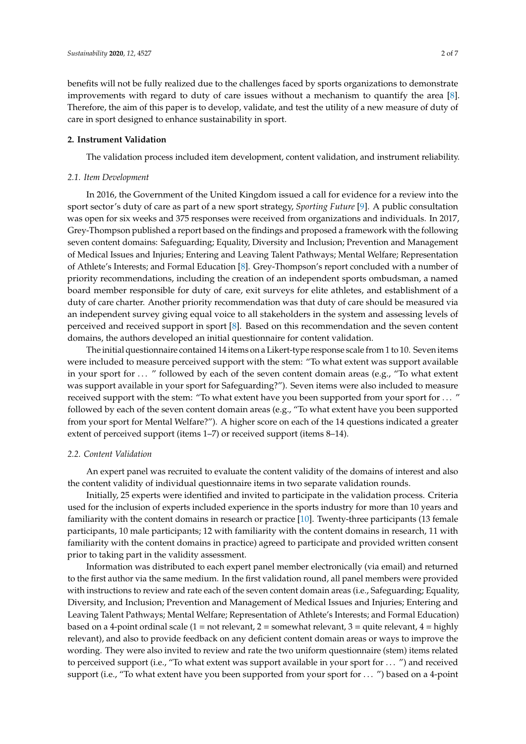benefits will not be fully realized due to the challenges faced by sports organizations to demonstrate improvements with regard to duty of care issues without a mechanism to quantify the area [\[8\]](#page-6-7). Therefore, the aim of this paper is to develop, validate, and test the utility of a new measure of duty of care in sport designed to enhance sustainability in sport.

#### **2. Instrument Validation**

The validation process included item development, content validation, and instrument reliability.

#### *2.1. Item Development*

In 2016, the Government of the United Kingdom issued a call for evidence for a review into the sport sector's duty of care as part of a new sport strategy, *Sporting Future* [\[9\]](#page-6-8). A public consultation was open for six weeks and 375 responses were received from organizations and individuals. In 2017, Grey-Thompson published a report based on the findings and proposed a framework with the following seven content domains: Safeguarding; Equality, Diversity and Inclusion; Prevention and Management of Medical Issues and Injuries; Entering and Leaving Talent Pathways; Mental Welfare; Representation of Athlete's Interests; and Formal Education [\[8\]](#page-6-7). Grey-Thompson's report concluded with a number of priority recommendations, including the creation of an independent sports ombudsman, a named board member responsible for duty of care, exit surveys for elite athletes, and establishment of a duty of care charter. Another priority recommendation was that duty of care should be measured via an independent survey giving equal voice to all stakeholders in the system and assessing levels of perceived and received support in sport [\[8\]](#page-6-7). Based on this recommendation and the seven content domains, the authors developed an initial questionnaire for content validation.

The initial questionnaire contained 14 items on a Likert-type response scale from 1 to 10. Seven items were included to measure perceived support with the stem: "To what extent was support available in your sport for  $\dots$  " followed by each of the seven content domain areas (e.g., "To what extent was support available in your sport for Safeguarding?"). Seven items were also included to measure received support with the stem: "To what extent have you been supported from your sport for . . . " followed by each of the seven content domain areas (e.g., "To what extent have you been supported from your sport for Mental Welfare?"). A higher score on each of the 14 questions indicated a greater extent of perceived support (items 1–7) or received support (items 8–14).

#### *2.2. Content Validation*

An expert panel was recruited to evaluate the content validity of the domains of interest and also the content validity of individual questionnaire items in two separate validation rounds.

Initially, 25 experts were identified and invited to participate in the validation process. Criteria used for the inclusion of experts included experience in the sports industry for more than 10 years and familiarity with the content domains in research or practice [\[10\]](#page-6-9). Twenty-three participants (13 female participants, 10 male participants; 12 with familiarity with the content domains in research, 11 with familiarity with the content domains in practice) agreed to participate and provided written consent prior to taking part in the validity assessment.

Information was distributed to each expert panel member electronically (via email) and returned to the first author via the same medium. In the first validation round, all panel members were provided with instructions to review and rate each of the seven content domain areas (i.e., Safeguarding; Equality, Diversity, and Inclusion; Prevention and Management of Medical Issues and Injuries; Entering and Leaving Talent Pathways; Mental Welfare; Representation of Athlete's Interests; and Formal Education) based on a 4-point ordinal scale (1 = not relevant, 2 = somewhat relevant, 3 = quite relevant, 4 = highly relevant), and also to provide feedback on any deficient content domain areas or ways to improve the wording. They were also invited to review and rate the two uniform questionnaire (stem) items related to perceived support (i.e., "To what extent was support available in your sport for . . . ") and received support (i.e., "To what extent have you been supported from your sport for . . . ") based on a 4-point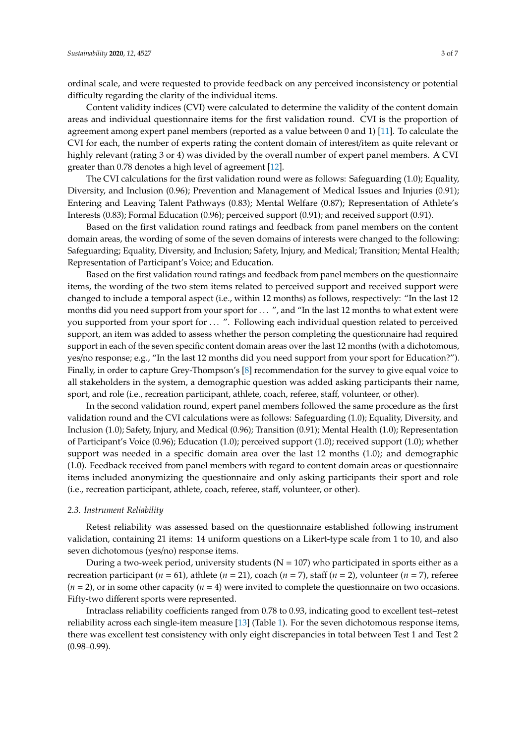ordinal scale, and were requested to provide feedback on any perceived inconsistency or potential difficulty regarding the clarity of the individual items.

Content validity indices (CVI) were calculated to determine the validity of the content domain areas and individual questionnaire items for the first validation round. CVI is the proportion of agreement among expert panel members (reported as a value between 0 and 1) [\[11\]](#page-6-10). To calculate the CVI for each, the number of experts rating the content domain of interest/item as quite relevant or highly relevant (rating 3 or 4) was divided by the overall number of expert panel members. A CVI greater than 0.78 denotes a high level of agreement [\[12\]](#page-6-11).

The CVI calculations for the first validation round were as follows: Safeguarding (1.0); Equality, Diversity, and Inclusion (0.96); Prevention and Management of Medical Issues and Injuries (0.91); Entering and Leaving Talent Pathways (0.83); Mental Welfare (0.87); Representation of Athlete's Interests (0.83); Formal Education (0.96); perceived support (0.91); and received support (0.91).

Based on the first validation round ratings and feedback from panel members on the content domain areas, the wording of some of the seven domains of interests were changed to the following: Safeguarding; Equality, Diversity, and Inclusion; Safety, Injury, and Medical; Transition; Mental Health; Representation of Participant's Voice; and Education.

Based on the first validation round ratings and feedback from panel members on the questionnaire items, the wording of the two stem items related to perceived support and received support were changed to include a temporal aspect (i.e., within 12 months) as follows, respectively: "In the last 12 months did you need support from your sport for ... ", and "In the last 12 months to what extent were you supported from your sport for ... ". Following each individual question related to perceived support, an item was added to assess whether the person completing the questionnaire had required support in each of the seven specific content domain areas over the last 12 months (with a dichotomous, yes/no response; e.g., "In the last 12 months did you need support from your sport for Education?"). Finally, in order to capture Grey-Thompson's [\[8\]](#page-6-7) recommendation for the survey to give equal voice to all stakeholders in the system, a demographic question was added asking participants their name, sport, and role (i.e., recreation participant, athlete, coach, referee, staff, volunteer, or other).

In the second validation round, expert panel members followed the same procedure as the first validation round and the CVI calculations were as follows: Safeguarding (1.0); Equality, Diversity, and Inclusion (1.0); Safety, Injury, and Medical (0.96); Transition (0.91); Mental Health (1.0); Representation of Participant's Voice (0.96); Education (1.0); perceived support (1.0); received support (1.0); whether support was needed in a specific domain area over the last 12 months (1.0); and demographic (1.0). Feedback received from panel members with regard to content domain areas or questionnaire items included anonymizing the questionnaire and only asking participants their sport and role (i.e., recreation participant, athlete, coach, referee, staff, volunteer, or other).

#### *2.3. Instrument Reliability*

Retest reliability was assessed based on the questionnaire established following instrument validation, containing 21 items: 14 uniform questions on a Likert-type scale from 1 to 10, and also seven dichotomous (yes/no) response items.

During a two-week period, university students ( $N = 107$ ) who participated in sports either as a recreation participant ( $n = 61$ ), athlete ( $n = 21$ ), coach ( $n = 7$ ), staff ( $n = 2$ ), volunteer ( $n = 7$ ), referee  $(n = 2)$ , or in some other capacity  $(n = 4)$  were invited to complete the questionnaire on two occasions. Fifty-two different sports were represented.

Intraclass reliability coefficients ranged from 0.78 to 0.93, indicating good to excellent test–retest reliability across each single-item measure [\[13\]](#page-6-12) (Table [1\)](#page-3-0). For the seven dichotomous response items, there was excellent test consistency with only eight discrepancies in total between Test 1 and Test 2  $(0.98 - 0.99)$ .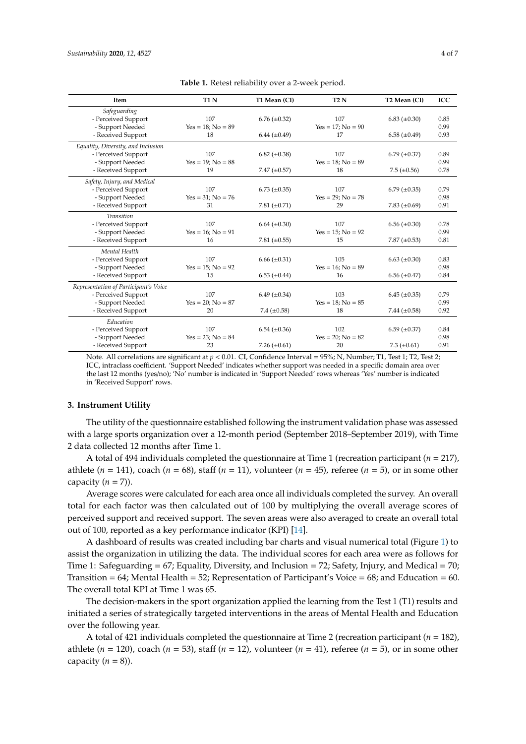<span id="page-3-0"></span>

| <b>Item</b>                           | <b>T1 N</b>         | T1 Mean (CI)        | T2N                    | T <sub>2</sub> Mean (CI) | ICC  |
|---------------------------------------|---------------------|---------------------|------------------------|--------------------------|------|
| Safeguarding                          |                     |                     |                        |                          |      |
| - Perceived Support                   | 107                 | $6.76 \ (\pm 0.32)$ | 107                    | $6.83 \ (\pm 0.30)$      | 0.85 |
| - Support Needed                      | $Yes = 18; No = 89$ |                     | $Yes = 17; No = 90$    |                          | 0.99 |
| - Received Support                    | 18                  | $6.44 (\pm 0.49)$   | 17                     | $6.58 \ (\pm 0.49)$      | 0.93 |
| Equality, Diversity, and Inclusion    |                     |                     |                        |                          |      |
| - Perceived Support                   | 107                 | $6.82 \ (\pm 0.38)$ | 107                    | $6.79 \ (\pm 0.37)$      | 0.89 |
| - Support Needed                      | $Yes = 19; No = 88$ |                     | $Yes = 18; No = 89$    |                          | 0.99 |
| - Received Support                    | 19                  | 7.47 $(\pm 0.57)$   | 18                     | $7.5 (\pm 0.56)$         | 0.78 |
| Safety, Injury, and Medical           |                     |                     |                        |                          |      |
| - Perceived Support                   | 107                 | $6.73 \ (\pm 0.35)$ | 107                    | $6.79 \ (\pm 0.35)$      | 0.79 |
| - Support Needed                      | $Yes = 31; No = 76$ |                     | $Yes = 29$ ; $No = 78$ |                          | 0.98 |
| - Received Support                    | 31                  | 7.81 $(\pm 0.71)$   | 29                     | 7.83 $(\pm 0.69)$        | 0.91 |
| <b>Transition</b>                     |                     |                     |                        |                          |      |
| - Perceived Support                   | 107                 | $6.64 \ (\pm 0.30)$ | 107                    | $6.56 \ (\pm 0.30)$      | 0.78 |
| - Support Needed                      | $Yes = 16; No = 91$ |                     | $Yes = 15; No = 92$    |                          | 0.99 |
| - Received Support                    | 16                  | 7.81 $(\pm 0.55)$   | 15                     | 7.87 $(\pm 0.53)$        | 0.81 |
| Mental Health                         |                     |                     |                        |                          |      |
| - Perceived Support                   | 107                 | $6.66 \ (\pm 0.31)$ | 105                    | $6.63 \ (\pm 0.30)$      | 0.83 |
| - Support Needed                      | $Yes = 15; No = 92$ |                     | $Yes = 16; No = 89$    |                          | 0.98 |
| - Received Support                    | 15                  | $6.53 \ (\pm 0.44)$ | 16                     | $6.56 \ (\pm 0.47)$      | 0.84 |
| Representation of Participant's Voice |                     |                     |                        |                          |      |
| - Perceived Support                   | 107                 | $6.49 \ (\pm 0.34)$ | 103                    | $6.45 \ (\pm 0.35)$      | 0.79 |
| - Support Needed                      | $Yes = 20; No = 87$ |                     | $Yes = 18; No = 85$    |                          | 0.99 |
| - Received Support                    | 20                  | 7.4 $(\pm 0.58)$    | 18                     | 7.44 $(\pm 0.58)$        | 0.92 |
| Education                             |                     |                     |                        |                          |      |
| - Perceived Support                   | 107                 | $6.54 \ (\pm 0.36)$ | 102                    | $6.59 \ (\pm 0.37)$      | 0.84 |
| - Support Needed                      | $Yes = 23; No = 84$ |                     | $Yes = 20; No = 82$    |                          | 0.98 |
| - Received Support                    | 23                  | 7.26 $(\pm 0.61)$   | 20                     | 7.3 $(\pm 0.61)$         | 0.91 |

**Table 1.** Retest reliability over a 2-week period.

Note. All correlations are significant at  $p < 0.01$ . CI, Confidence Interval = 95%; N, Number; T1, Test 1; T2, Test 2; ICC, intraclass coefficient. 'Support Needed' indicates whether support was needed in a specific domain area over the last 12 months (yes/no); 'No' number is indicated in 'Support Needed' rows whereas 'Yes' number is indicated in 'Received Support' rows.

#### **3. Instrument Utility**

The utility of the questionnaire established following the instrument validation phase was assessed with a large sports organization over a 12-month period (September 2018–September 2019), with Time 2 data collected 12 months after Time 1.

A total of 494 individuals completed the questionnaire at Time 1 (recreation participant (*n* = 217), athlete  $(n = 141)$ , coach  $(n = 68)$ , staff  $(n = 11)$ , volunteer  $(n = 45)$ , referee  $(n = 5)$ , or in some other capacity  $(n = 7)$ ).

Average scores were calculated for each area once all individuals completed the survey. An overall total for each factor was then calculated out of 100 by multiplying the overall average scores of perceived support and received support. The seven areas were also averaged to create an overall total out of 100, reported as a key performance indicator (KPI) [\[14\]](#page-6-13).

A dashboard of results was created including bar charts and visual numerical total (Figure [1\)](#page-4-0) to assist the organization in utilizing the data. The individual scores for each area were as follows for Time 1: Safeguarding = 67; Equality, Diversity, and Inclusion = 72; Safety, Injury, and Medical = 70; Transition = 64; Mental Health = 52; Representation of Participant's Voice = 68; and Education = 60. The overall total KPI at Time 1 was 65.

The decision-makers in the sport organization applied the learning from the Test 1 (T1) results and initiated a series of strategically targeted interventions in the areas of Mental Health and Education over the following year.

A total of 421 individuals completed the questionnaire at Time 2 (recreation participant (*n* = 182), athlete  $(n = 120)$ , coach  $(n = 53)$ , staff  $(n = 12)$ , volunteer  $(n = 41)$ , referee  $(n = 5)$ , or in some other capacity  $(n = 8)$ ).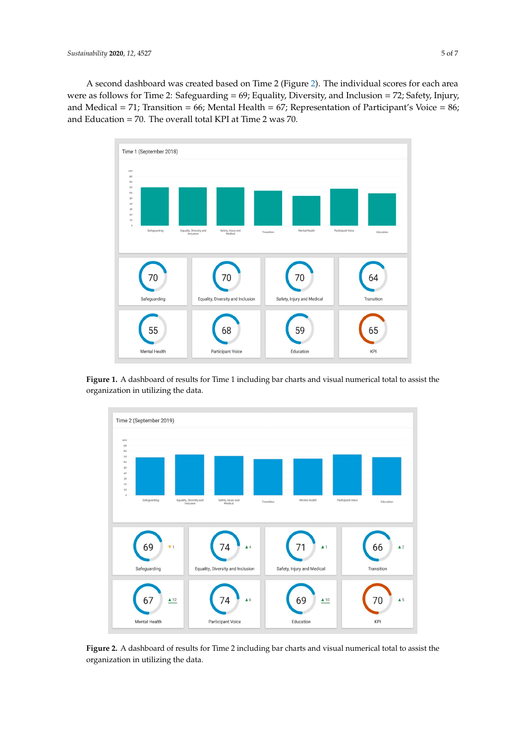A second dashboard was created based on Time 2 (Figure [2\)](#page-4-1). The individual scores for each area were as follows for Time 2: Safeguarding = 69; Equality, Diversity, and Inclusion = 72; Safety, Injury, and Medical = 71; Transition = 66; Mental Health = 67; Representation of Participant's Voice = 86; and Education = 70. The overall total KPI at Time 2 was 70.

<span id="page-4-0"></span>

<span id="page-4-1"></span>**Figure 1.** A dashboard of results for Time 1 including bar charts and visual numerical total to assist the organization in utilizing the data.



**Figure 2.** A dashboard of results for Time 2 including bar charts and visual numerical total to assist **Figure 2.** A dashboard of results for Time 2 including bar charts and visual numerical total to assist the organization in utilizing the data.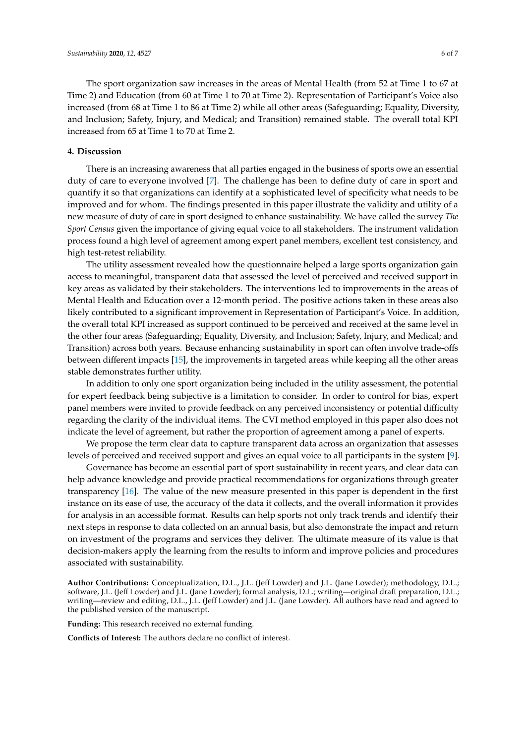The sport organization saw increases in the areas of Mental Health (from 52 at Time 1 to 67 at Time 2) and Education (from 60 at Time 1 to 70 at Time 2). Representation of Participant's Voice also increased (from 68 at Time 1 to 86 at Time 2) while all other areas (Safeguarding; Equality, Diversity, and Inclusion; Safety, Injury, and Medical; and Transition) remained stable. The overall total KPI increased from 65 at Time 1 to 70 at Time 2.

### **4. Discussion**

There is an increasing awareness that all parties engaged in the business of sports owe an essential duty of care to everyone involved [\[7\]](#page-6-6). The challenge has been to define duty of care in sport and quantify it so that organizations can identify at a sophisticated level of specificity what needs to be improved and for whom. The findings presented in this paper illustrate the validity and utility of a new measure of duty of care in sport designed to enhance sustainability. We have called the survey *The Sport Census* given the importance of giving equal voice to all stakeholders. The instrument validation process found a high level of agreement among expert panel members, excellent test consistency, and high test-retest reliability.

The utility assessment revealed how the questionnaire helped a large sports organization gain access to meaningful, transparent data that assessed the level of perceived and received support in key areas as validated by their stakeholders. The interventions led to improvements in the areas of Mental Health and Education over a 12-month period. The positive actions taken in these areas also likely contributed to a significant improvement in Representation of Participant's Voice. In addition, the overall total KPI increased as support continued to be perceived and received at the same level in the other four areas (Safeguarding; Equality, Diversity, and Inclusion; Safety, Injury, and Medical; and Transition) across both years. Because enhancing sustainability in sport can often involve trade-offs between different impacts [\[15\]](#page-6-14), the improvements in targeted areas while keeping all the other areas stable demonstrates further utility.

In addition to only one sport organization being included in the utility assessment, the potential for expert feedback being subjective is a limitation to consider. In order to control for bias, expert panel members were invited to provide feedback on any perceived inconsistency or potential difficulty regarding the clarity of the individual items. The CVI method employed in this paper also does not indicate the level of agreement, but rather the proportion of agreement among a panel of experts.

We propose the term clear data to capture transparent data across an organization that assesses levels of perceived and received support and gives an equal voice to all participants in the system [\[9\]](#page-6-8).

Governance has become an essential part of sport sustainability in recent years, and clear data can help advance knowledge and provide practical recommendations for organizations through greater transparency [\[16\]](#page-6-15). The value of the new measure presented in this paper is dependent in the first instance on its ease of use, the accuracy of the data it collects, and the overall information it provides for analysis in an accessible format. Results can help sports not only track trends and identify their next steps in response to data collected on an annual basis, but also demonstrate the impact and return on investment of the programs and services they deliver. The ultimate measure of its value is that decision-makers apply the learning from the results to inform and improve policies and procedures associated with sustainability.

**Author Contributions:** Conceptualization, D.L., J.L. (Jeff Lowder) and J.L. (Jane Lowder); methodology, D.L.; software, J.L. (Jeff Lowder) and J.L. (Jane Lowder); formal analysis, D.L.; writing—original draft preparation, D.L.; writing—review and editing, D.L., J.L. (Jeff Lowder) and J.L. (Jane Lowder). All authors have read and agreed to the published version of the manuscript.

**Funding:** This research received no external funding.

**Conflicts of Interest:** The authors declare no conflict of interest.